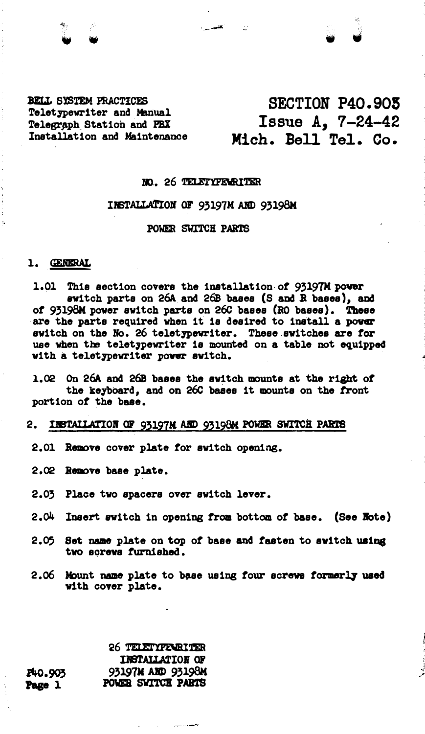BELL SYSTEM PRACTICES Teletypewriter and Manual Telegraph Station and PBX Installation and Maintenance

# SECTION P40.90S Issue A, 7-24-42 Mich. Bell Tel. Co.

### m. 26 TELETlPEWRI"mR

## INSTALLATION OF 93197M AND 93198M

#### POWER SWITCH PARTS

#### 1. GENERAL

1.01 This section covers the installation of 93197M power switch parts on 26A and 26B bases (S and R bases), and of 93198M power switch parts on 26C bases (RO bases). These are the parts required when it is desired to install a power switch on the No. 26 teletypewriter. These switchee are for use when the teletypewriter is mounted on a table not equipped with a teletypewriter power switch.

1.02 On 26A and 26B bases the switch mounts at the right of the keyboard, and on 26C bases it mounts on the front portion of the base.

#### 2. INSTALLATION OF 93197M AND 93198M POWER SWITCH PARTS

- 2.01 Remove cover plate for switch opening.
- 2.02 Remove base plate.
- 2.03 Place two spacers over switch lever.
- $2.04$  Insert switch in opening from bottom of base. (See Mote)
- 2.05 Set name plate on top of base and fasten to switch using two eqrews furnished.
- 2.06 Mount name plate to base using four screws formerly used with cover plate.

26 TELETYPE RITER INSTALLATION OF 93197N ABD 93198M P40.903 POWER SWITCH PARTS Page 1